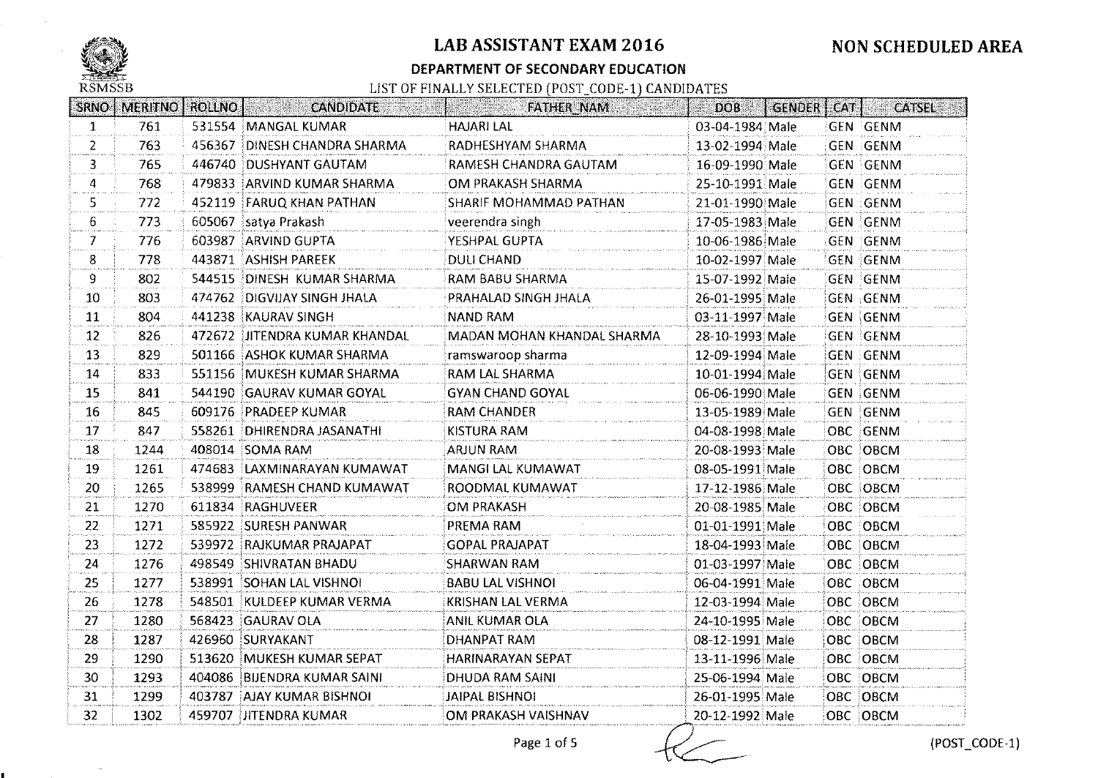

### DEPARTMENT OF SECONDARY EDUCATION

| <b>SRNO</b>       | <b>MERITNO</b> |        | <b>ROLLNO</b>   <b>ROLLNO</b><br><b>CANDIDATE</b><br>isti kesti taivat | FATHER NAM                 | <b>DOB</b>      | GENDER | CAT | CATSEL          |
|-------------------|----------------|--------|------------------------------------------------------------------------|----------------------------|-----------------|--------|-----|-----------------|
| $\mathbf{1}$      | 761            |        | 531554 MANGAL KUMAR                                                    | <b>HAJARI LAL</b>          | 03-04-1984 Male |        |     | <b>GEN GENM</b> |
| $\overline{2}$    | 763            | 456367 | DINESH CHANDRA SHARMA                                                  | RADHESHYAM SHARMA          | 13-02-1994 Male |        |     | <b>GEN GENM</b> |
| 3                 | 765            |        | 446740 DUSHYANT GAUTAM                                                 | RAMESH CHANDRA GAUTAM      | 16-09-1990 Male |        |     | <b>GEN GENM</b> |
| 4                 | 768            |        | 479833 ARVIND KUMAR SHARMA                                             | OM PRAKASH SHARMA          | 25-10-1991 Male |        |     | <b>GEN GENM</b> |
| 5.                | 772            |        | 452119 FARUQ KHAN PATHAN                                               | SHARIF MOHAMMAD PATHAN     | 21-01-1990 Male |        |     | GEN GENM        |
| 6                 | 773            | 605067 | satya Prakash                                                          | veerendra singh            | 17-05-1983 Male |        |     | <b>GEN GENM</b> |
| $\mathcal{T}$     | 776            | 603987 | ARVIND GUPTA                                                           | YESHPAL GUPTA              | 10-06-1986 Male |        |     | <b>GEN GENM</b> |
| 8                 | 778            |        | 443871 ASHISH PAREEK                                                   | <b>DULI CHAND</b>          | 10-02-1997 Male |        |     | GEN GENM        |
| 9.                | 802            | 544515 | DINESH KUMAR SHARMA                                                    | RAM BABU SHARMA            | 15-07-1992 Male |        |     | GEN GENM        |
| 10                | 803            |        | 474762 DIGVIJAY SINGH JHALA                                            | PRAHALAD SINGH JHALA       | 26-01-1995 Male |        |     | GEN GENM        |
| 11                | 804            |        | 441238 KAURAV SINGH                                                    | <b>NAND RAM</b>            | 03-11-1997 Male |        |     | GEN GENM        |
| $12 \overline{ }$ | 826            |        | 472672 JITENDRA KUMAR KHANDAL                                          | MADAN MOHAN KHANDAL SHARMA | 28-10-1993 Male |        |     | <b>GEN GENM</b> |
| 13                | 829            |        | 501166 ASHOK KUMAR SHARMA                                              | ramswaroop sharma          | 12-09-1994 Male |        |     | <b>GEN GENM</b> |
| 14                | 833            |        | 551156 MUKESH KUMAR SHARMA                                             | RAM LAL SHARMA             | 10-01-1994 Male |        |     | GEN GENM        |
| 15                | 841            |        | 544190 GAURAV KUMAR GOYAL                                              | <b>GYAN CHAND GOYAL</b>    | 06-06-1990 Male |        |     | <b>GEN GENM</b> |
| 16                | 845            |        | 609176 PRADEEP KUMAR                                                   | <b>RAM CHANDER</b>         | 13-05-1989 Male |        |     | <b>GEN GENM</b> |
| 17                | 847            |        | 558261 DHIRENDRA JASANATHI                                             | <b>KISTURA RAM</b>         | 04-08-1998 Male |        |     | OBC GENM        |
| 18                | 1244           |        | 408014 SOMA RAM                                                        | <b>ARJUN RAM</b>           | 20-08-1993 Male |        |     | OBC OBCM        |
| 19                | 1261           |        | 474683 LAXMINARAYAN KUMAWAT                                            | MANGI LAL KUMAWAT          | 08-05-1991 Male |        |     | OBC OBCM        |
| 20                | 1265           | 538999 | RAMESH CHAND KUMAWAT                                                   | ROODMAL KUMAWAT            | 17-12-1986 Male |        |     | OBC OBCM        |
| 21                | 1270           | 611834 | <b>RAGHUVEER</b>                                                       | OM PRAKASH                 | 20-08-1985 Male |        |     | OBC OBCM        |
| 22                | 1271           |        | 585922 SURESH PANWAR                                                   | PREMA RAM                  | 01-01-1991 Male |        |     | OBC OBCM        |
| 23                | 1272           |        | 539972 RAJKUMAR PRAJAPAT                                               | GOPAL PRAJAPAT             | 18-04-1993 Male |        |     | OBC OBCM        |
| 24                | 1276           |        | 498549 SHIVRATAN BHADU                                                 | <b>SHARWAN RAM</b>         | 01-03-1997 Male |        |     | OBC OBCM        |
| 25                | 1277           |        | 538991 SOHAN LAL VISHNOI                                               | <b>BABU LAL VISHNOI</b>    | 06-04-1991 Male |        |     | OBC OBCM        |
| 26                | 1278           |        | 548501 KULDEEP KUMAR VERMA                                             | KRISHAN LAL VERMA          | 12-03-1994 Male |        |     | OBC OBCM        |
| 27                | 1280           | 568423 | <b>GAURAV OLA</b>                                                      | ANIL KUMAR OLA             | 24-10-1995 Male |        |     | OBC OBCM        |
| 28                | 1287           |        | 426960 SURYAKANT                                                       | DHANPAT RAM                | 08-12-1991 Male |        |     | OBC OBCM        |
| 29                | 1290           |        | 513620 MUKESH KUMAR SEPAT                                              | <b>HARINARAYAN SEPAT</b>   | 13-11-1996 Male |        |     | OBC OBCM        |
| 30                | 1293           |        | 404086 BIJENDRA KUMAR SAINI                                            | <b>DHUDA RAM SAINI</b>     | 25-06-1994 Male |        |     | OBC OBCM        |
| 31                | 1299           |        | 403787 AJAY KUMAR BISHNOI                                              | <b>JAIPAL BISHNOI</b>      | 26-01-1995 Male |        |     | ОВС ОВСМ        |
| 32                | 1302           |        | 459707 JITENDRA KUMAR                                                  | OM PRAKASH VAISHNAV        | 20-12-1992 Male |        |     | OBC OBCM        |
|                   |                |        |                                                                        | Page 1 of 5                |                 |        |     | (POST_          |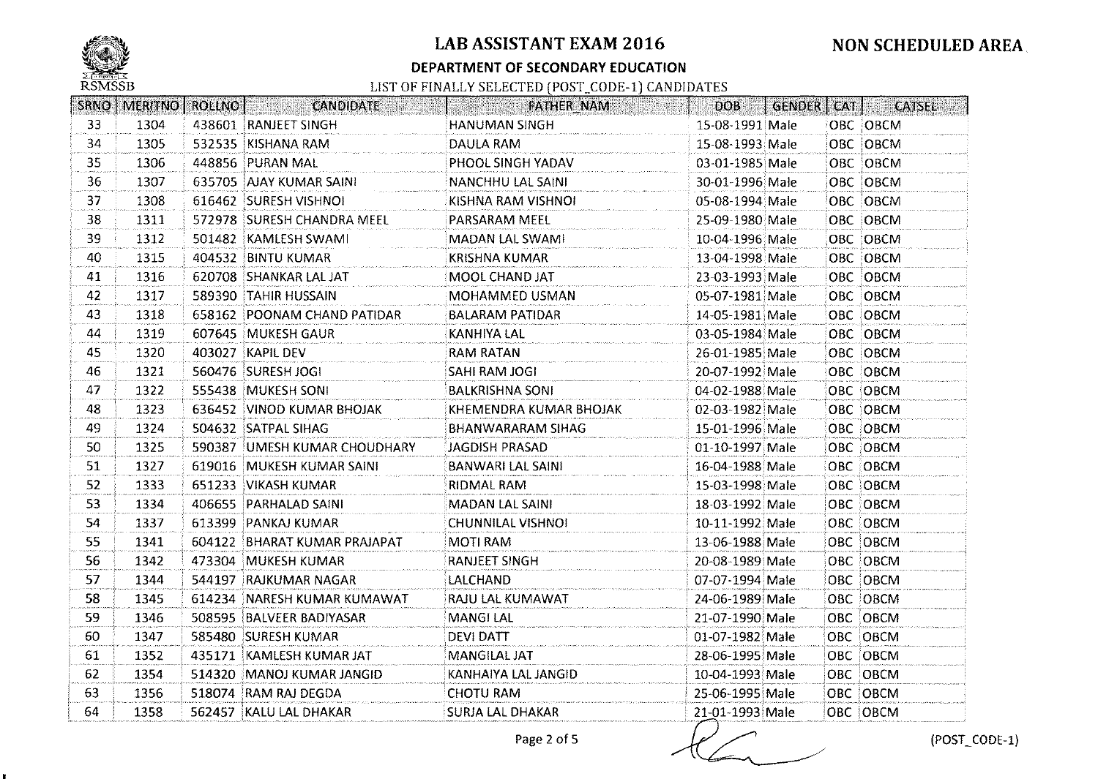

к.

## LAB ASSISTANT EXAM 2016

#### DEPARTMENT OF SECONDARY EDUCATION

| SRNO <sup>1</sup> | MERITNO   ROLLNO | <b>CANDIDATE</b>              | FATHER NAM               | DOB             | GENDER   CAT | <b>CATSEL</b> |
|-------------------|------------------|-------------------------------|--------------------------|-----------------|--------------|---------------|
| 33                | 1304             | 438601 RANJEET SINGH          | HANUMAN SINGH            | 15-08-1991 Male |              | OBC OBCM      |
| 34                | 1305             | 532535 KISHANA RAM            | DAULA RAM                | 15-08-1993 Male |              | OBC OBCM      |
| 35                | 1306             | 448856 PURAN MAL              | PHOOL SINGH YADAV        | 03-01-1985 Male |              | OBC OBCM      |
| 36                | 1307             | 635705 AJAY KUMAR SAINI       | <b>NANCHHU LAL SAINI</b> | 30-01-1996 Male |              | OBC OBCM      |
| 37                | 1308             | 616462 SURESH VISHNOI         | KISHNA RAM VISHNOI       | 05-08-1994 Male |              | OBC OBCM      |
| 38                | 1311             | 572978 SURESH CHANDRA MEEL    | PARSARAM MEEL            | 25-09-1980 Male |              | OBC OBCM      |
| 39                | 1312             | 501482 KAMLESH SWAMI          | MADAN LAL SWAMI          | 10-04-1996 Male |              | OBC OBCM      |
| 40                | 1315             | 404532 BINTU KUMAR            | <b>KRISHNA KUMAR</b>     | 13-04-1998 Male |              | OBC OBCM      |
| 41                | 1316             | 620708 SHANKAR LAL JAT        | MOOL CHAND JAT           | 23-03-1993 Male |              | OBC OBCM      |
| 42                | 1317             | 589390 TAHIR HUSSAIN          | MOHAMMED USMAN           | 05-07-1981 Male |              | OBC OBCM      |
| 43                | 1318             | 658162 POONAM CHAND PATIDAR   | BALARAM PATIDAR          | 14-05-1981 Male |              | OBC OBCM      |
| 44                | 1319             | 607645 MUKESH GAUR            | <b>KANHIYA LAL</b>       | 03-05-1984 Male |              | OBC OBCM      |
| 45                | 1320             | 403027 KAPIL DEV              | <b>RAM RATAN</b>         | 26-01-1985 Male |              | OBC OBCM      |
| 46                | 1321             | 560476 SURESH JOGI            | SAHI RAM JOGI            | 20-07-1992 Male |              | OBC OBCM      |
| 47                | 1322             | 555438 MUKESH SONI            | <b>BALKRISHNA SONI</b>   | 04-02-1988 Male |              | OBC OBCM      |
| 48                | 1323             | 636452 VINOD KUMAR BHOJAK     | KHEMENDRA KUMAR BHOJAK   | 02-03-1982 Male |              | OBC OBCM      |
| 49.               | 1324             | 504632 SATPAL SIHAG           | BHANWARARAM SIHAG        | 15-01-1996 Male |              | OBC OBCM      |
| 50                | 1325             | 590387 JUMESH KUMAR CHOUDHARY | JAGDISH PRASAD           | 01-10-1997 Male |              | OBC OBCM      |
| 51                | 1327             | 619016 MUKESH KUMAR SAINI     | <b>BANWARI LAL SAINI</b> | 16-04-1988 Male |              | OBC OBCM      |
| 52                | 1333             | 651233 VIKASH KUMAR           | RIDMAL RAM               | 15-03-1998 Male |              | OBC OBCM      |
| 53                | 1334             | 406655 PARHALAD SAINI         | MADAN LAL SAINI          | 18-03-1992 Male |              | OBC OBCM      |
| 54                | 1337             | 613399 PANKAJ KUMAR           | <b>CHUNNILAL VISHNOI</b> | 10-11-1992 Male |              | OBC OBCM      |
| 55                | 1341             | 604122 BHARAT KUMAR PRAJAPAT  | MOTI RAM                 | 13-06-1988 Male |              | OBC OBCM      |
| 56                | 1342             | 473304 MUKESH KUMAR           | <b>RANJEET SINGH</b>     | 20-08-1989 Male |              | OBC OBCM      |
| 57                | 1344             | 544197 RAJKUMAR NAGAR         | LALCHAND                 | 07-07-1994 Male |              | OBC OBCM      |
| 58                | 1345             | 614234 NARESH KUMAR KUMAWAT   | RAJU LAL KUMAWAT         | 24-06-1989 Male |              | OBC OBCM      |
| 59                | 1346             | 508595 BALVEER BADIYASAR      | <b>MANGILAL</b>          | 21-07-1990 Male |              | OBC OBCM      |
| 60                | 1347             | 585480 SURESH KUMAR           | <b>DEVI DATT</b>         | 01-07-1982 Male |              | OBC OBCM      |
| 61                | 1352             | 435171 KAMLESH KUMAR JAT      | <b>MANGILAL JAT</b>      | 28-06-1995 Male |              | OBC OBCM      |
| 62                | 1354             | 514320   MANOJ KUMAR JANGID   | KANHAIYA LAL JANGID      | 10-04-1993 Male |              | OBC OBCM      |
| 63                | 1356             | 518074 RAM RAJ DEGDA          | <b>CHOTU RAM</b>         | 25-06-1995 Male |              | OBC OBCM      |
| 64                | 1358             | 562457 KALU LAL DHAKAR        | <b>SURJA LAL DHAKAR</b>  | 21-01-1993 Male |              | OBC OBCM      |
|                   |                  |                               | Page 2 of 5              |                 |              | (POST_        |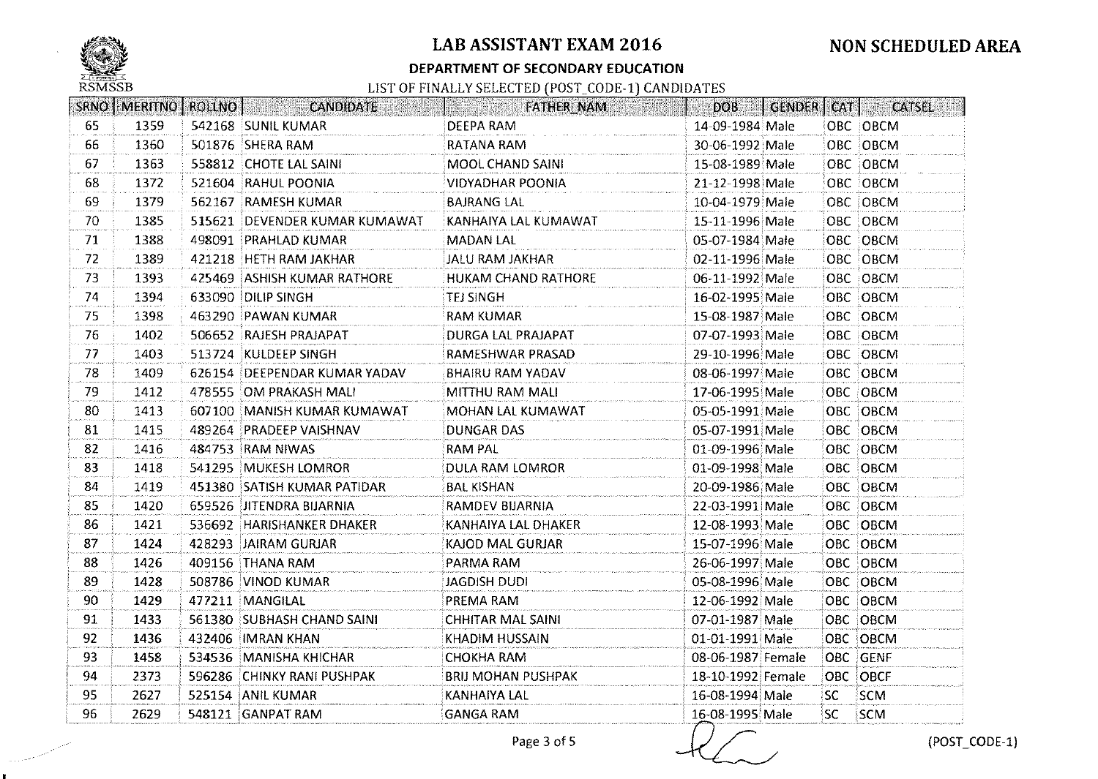

### **DEPARTMENT OF SECONDARY EDUCATION**

|    |      |        | SRNO   MERITNO   ROLLNO   CANDIDATE | <b>EXAMPLE AND FATHER_NAM</b> | DOB               | GENDER   CAT |           | <b>CATSEL</b> |
|----|------|--------|-------------------------------------|-------------------------------|-------------------|--------------|-----------|---------------|
| 65 | 1359 |        | 542168 SUNIL KUMAR                  | DEEPA RAM                     | 14-09-1984 Male   |              |           | OBC OBCM      |
| 66 | 1360 |        | 501876 SHERA RAM                    | RATANA RAM                    | 30-06-1992 Male   |              |           | OBC OBCM      |
| 67 | 1363 |        | 558812 CHOTE LAL SAINI              | MOOL CHAND SAINI              | 15-08-1989 Male   |              |           | OBC OBCM      |
| 68 | 1372 |        | 521604 RAHUL POONIA                 | VIDYADHAR POONIA              | 21-12-1998 Male   |              |           | OBC OBCM      |
| 69 | 1379 |        | 562167 RAMESH KUMAR                 | <b>BAJRANG LAL</b>            | 10-04-1979 Male   |              |           | OBC OBCM      |
| 70 | 1385 |        | 515621 DEVENDER KUMAR KUMAWAT       | KANHAIYA LAL KUMAWAT          | 15-11-1996 Male   |              |           | OBC OBCM      |
| 71 | 1388 |        | 498091 PRAHLAD KUMAR                | <b>MADAN LAL</b>              | 05-07-1984 Male   |              |           | OBC OBCM      |
| 72 | 1389 |        | 421218 HETH RAM JAKHAR              | JALU RAM JAKHAR               | 02-11-1996 Male   |              |           | OBC OBCM      |
| 73 | 1393 |        | 425469 ASHISH KUMAR RATHORE         | <b>HUKAM CHAND RATHORE</b>    | 06-11-1992 Male   |              |           | OBC OBCM      |
| 74 | 1394 |        | 633090 DILIP SINGH                  | TEJ SINGH                     | 16-02-1995 Male   |              |           | OBC OBCM      |
| 75 | 1398 |        | 463290 PAWAN KUMAR                  | <b>RAM KUMAR</b>              | 15-08-1987 Male   |              |           | OBC OBCM      |
| 76 | 1402 |        | 506652 RAJESH PRAJAPAT              | DURGA LAL PRAJAPAT            | 07-07-1993 Male   |              |           | OBC OBCM      |
| 77 | 1403 |        | 513724 KULDEEP SINGH                | RAMESHWAR PRASAD              | 29-10-1996 Male   |              |           | OBC OBCM      |
| 78 | 1409 |        | 626154 DEEPENDAR KUMAR YADAV        | <b>BHAIRU RAM YADAV</b>       | 08-06-1997 Male   |              |           | OBC OBCM      |
| 79 | 1412 |        | 478555 OM PRAKASH MALI              | MITTHU RAM MALI               | 17-06-1995 Male   |              |           | OBC OBCM      |
| 80 | 1413 |        | 607100 MANISH KUMAR KUMAWAT         | MOHAN LAL KUMAWAT             | 05-05-1991 Male   |              |           | OBC OBCM      |
| 81 | 1415 |        | 489264 PRADEEP VAISHNAV             | <b>DUNGAR DAS</b>             | 05-07-1991 Male   |              |           | OBC OBCM      |
| 82 | 1416 |        | 484753 RAM NIWAS                    | RAM PAL                       | 01-09-1996 Male   |              |           | OBC OBCM      |
| 83 | 1418 |        | 541295 MUKESH LOMROR                | <b>DULA RAM LOMROR</b>        | 01-09-1998 Male   |              |           | OBC OBCM      |
| 84 | 1419 |        | 451380 SATISH KUMAR PATIDAR         | <b>BAL KISHAN</b>             | 20-09-1986 Male   |              |           | OBC OBCM      |
| 85 | 1420 | 659526 | <b>JITENDRA BIJARNIA</b>            | RAMDEV BIJARNIA               | 22-03-1991 Male   |              |           | OBC OBCM      |
| 86 | 1421 |        | 536692 HARISHANKER DHAKER           | KANHAIYA LAL DHAKER           | 12-08-1993 Male   |              |           | OBC OBCM      |
| 87 | 1424 |        | 428293 JAIRAM GURJAR                | <b>KAJOD MAL GURJAR</b>       | 15-07-1996 Male   |              |           | OBC OBCM      |
| 88 | 1426 |        | 409156 THANA RAM                    | PARMA RAM                     | 26-06-1997 Male   |              |           | OBC OBCM      |
| 89 | 1428 |        | 508786 VINOD KUMAR                  | JAGDISH DUDI                  | 05-08-1996 Male   |              |           | OBC OBCM      |
| 90 | 1429 |        | 477211 MANGILAL                     | PREMA RAM                     | 12-06-1992 Male   |              |           | OBC OBCM      |
| 91 | 1433 |        | 561380 SUBHASH CHAND SAINI          | <b>CHHITAR MAL SAINI</b>      | 07-01-1987 Male   |              |           | OBC OBCM      |
| 92 | 1436 |        | 432406 IMRAN KHAN                   | KHADIM HUSSAIN                | 01-01-1991 Male   |              |           | OBC OBCM      |
| 93 | 1458 |        | 534536 MANISHA KHICHAR              | <b>CHOKHA RAM</b>             | 08-06-1987 Female |              |           | OBC GENF      |
| 94 | 2373 |        | 596286 CHINKY RANI PUSHPAK          | <b>BRIJ MOHAN PUSHPAK</b>     | 18-10-1992 Female |              |           | OBC OBCF      |
| 95 | 2627 |        | 525154 ANIL KUMAR                   | <b>KANHAIYA LAL</b>           | 16-08-1994 Male   |              | <b>SC</b> | SCM           |
| 96 | 2629 |        | 548121 GANPAT RAM                   | <b>GANGA RAM</b>              | 16-08-1995 Male   |              | SC.       | SCM           |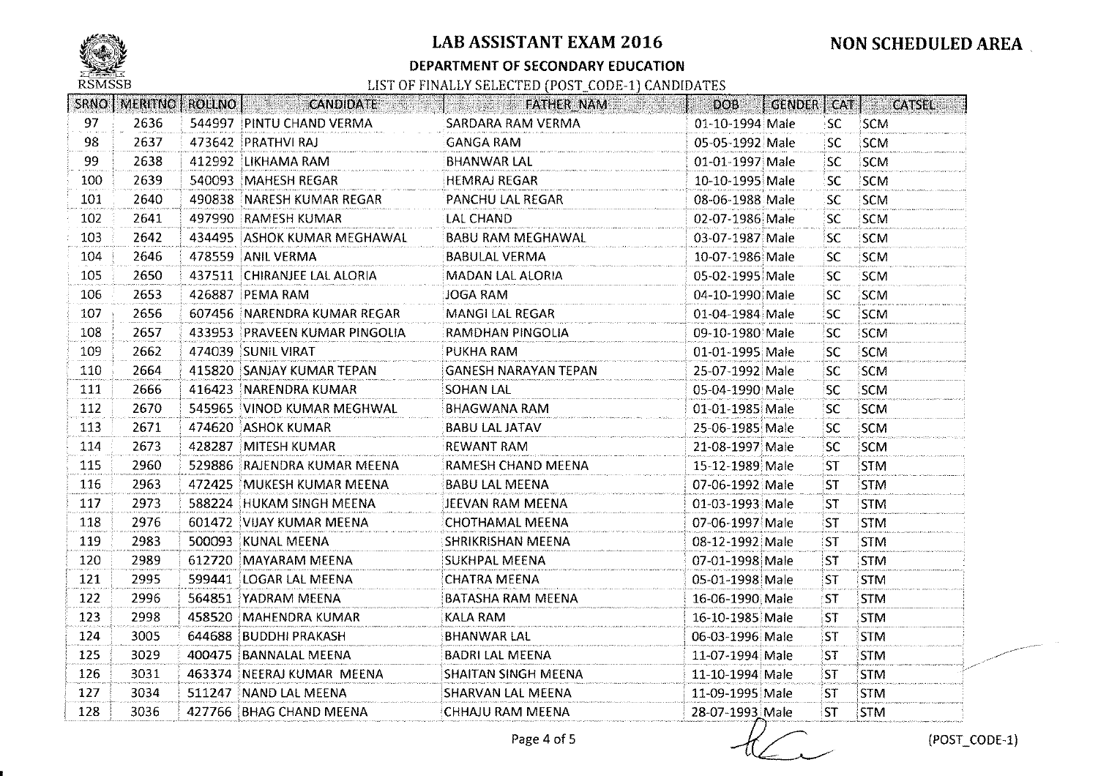

#### **DEPARTMENT OF SECONDARY EDUCATION**

# **NON SCHEDULED AREA.**

|     | SRNO   MERITNO   ROLLNO |        | <b>CANDIDATE</b>              | <b>FATHER NAM</b>           | DOB             |           | <b>GENDER</b> CAT CATSEL |
|-----|-------------------------|--------|-------------------------------|-----------------------------|-----------------|-----------|--------------------------|
| 97  | 2636                    |        | 544997 PINTU CHAND VERMA      | SARDARA RAM VERMA           | 01-10-1994 Male | SC.       | <b>SCM</b>               |
| 98  | 2637                    |        | 473642 PRATHVI RAJ            | <b>GANGA RAM</b>            | 05-05-1992 Male | <b>SC</b> | <b>SCM</b>               |
| 99  | 2638                    |        | 412992 LIKHAMA RAM            | <b>BHANWAR LAL</b>          | 01-01-1997 Male | SC.       | SCM                      |
| 100 | 2639                    |        | 540093 MAHESH REGAR           | <b>HEMRAJ REGAR</b>         | 10-10-1995 Male | SC        | SCM                      |
| 101 | 2640                    |        | 490838 NARESH KUMAR REGAR     | PANCHU LAL REGAR            | 08-06-1988 Male | SC.       | <b>SCM</b>               |
| 102 | 2641                    |        | 497990 RAMESH KUMAR           | LAL CHAND                   | 02-07-1986 Male | <b>SC</b> | <b>SCM</b>               |
| 103 | 2642                    |        | 434495 ASHOK KUMAR MEGHAWAL   | <b>BABU RAM MEGHAWAL</b>    | 03-07-1987 Male | SC        | SCM                      |
| 104 | 2646                    |        | 478559 ANIL VERMA             | <b>BABULAL VERMA</b>        | 10-07-1986 Male | SC.       | <b>SCM</b>               |
| 105 | 2650                    |        | 437511 CHIRANJEE LAL ALORIA   | MADAN LAL ALORIA            | 05-02-1995 Male | isc.      | SCM                      |
| 106 | 2653                    |        | 426887 PEMA RAM               | JOGA RAM                    | 04-10-1990 Male | <b>SC</b> | <b>SCM</b>               |
| 107 | 2656                    |        | 607456 NARENDRA KUMAR REGAR   | <b>MANGI LAL REGAR</b>      | 01-04-1984 Male | <b>SC</b> | SCM                      |
| 108 | 2657                    |        | 433953 PRAVEEN KUMAR PINGOLIA | RAMDHAN PINGOLIA            | 09-10-1980 Male | SC.       | SCM                      |
| 109 | 2662                    |        | 474039 SUNIL VIRAT            | PUKHA RAM                   | 01-01-1995 Male | <b>SC</b> | SCM                      |
| 110 | 2664                    |        | 415820 SANJAY KUMAR TEPAN     | <b>GANESH NARAYAN TEPAN</b> | 25-07-1992 Male | SC.       | SCM                      |
| 111 | 2666                    |        | 416423 NARENDRA KUMAR         | <b>SOHAN LAL</b>            | 05-04-1990 Male | SC.       | SCM                      |
| 112 | 2670                    |        | 545965 VINOD KUMAR MEGHWAL    | <b>BHAGWANA RAM</b>         | 01-01-1985 Male | SC.       | SCM                      |
| 113 | 2671                    |        | 474620 ASHOK KUMAR            | <b>BABU LAL JATAV</b>       | 25-06-1985 Male | SC.       | SCM                      |
| 114 | 2673                    |        | 428287 MITESH KUMAR           | <b>REWANT RAM</b>           | 21-08-1997 Male | SC.       | <b>SCM</b>               |
| 115 | 2960                    |        | 529886 RAJENDRA KUMAR MEENA   | RAMESH CHAND MEENA          | 15-12-1989 Male | <b>ST</b> | <b>STM</b>               |
| 116 | 2963                    |        | 472425 MUKESH KUMAR MEENA     | <b>BABU LAL MEENA</b>       | 07-06-1992 Male | <b>ST</b> | STM                      |
| 117 | 2973                    |        | 588224 HUKAM SINGH MEENA      | JEEVAN RAM MEENA            | 01-03-1993 Male | ST        | <b>STM</b>               |
| 118 | 2976                    |        | 601472 VIJAY KUMAR MEENA      | CHOTHAMAL MEENA             | 07-06-1997 Male | ST        | <b>STM</b>               |
| 119 | 2983                    |        | 500093 KUNAL MEENA            | <b>SHRIKRISHAN MEENA</b>    | 08-12-1992 Male | 'ST       | STM.                     |
| 120 | 2989                    |        | 612720 MAYARAM MEENA          | SUKHPAL MEENA               | 07-01-1998 Male | <b>ST</b> | <b>STM</b>               |
| 121 | 2995                    | 599441 | LOGAR LAL MEENA               | <b>CHATRA MEENA</b>         | 05-01-1998 Male | ST.       | <b>STM</b>               |
| 122 | 2996                    | 564851 | YADRAM MEENA                  | <b>BATASHA RAM MEENA</b>    | 16-06-1990 Male | <b>ST</b> | <b>STM</b>               |
| 123 | 2998                    |        | 458520 MAHENDRA KUMAR         | KALA RAM                    | 16-10-1985 Male | 'ST       | <b>STM</b>               |
| 124 | 3005                    |        | 644688 BUDDHI PRAKASH         | <b>BHANWAR LAL</b>          | 06-03-1996 Male | ST        | <b>STM</b>               |
| 125 | 3029                    |        | 400475 BANNALAL MEENA         | <b>BADRI LAL MEENA</b>      | 11-07-1994 Male | ST        | <b>STM</b>               |
| 126 | 3031                    |        | 463374 NEERAJ KUMAR MEENA     | <b>SHAITAN SINGH MEENA</b>  | 11-10-1994 Male | ST        | <b>STM</b>               |
| 127 | 3034                    | 511247 | NAND LAL MEENA                | <b>SHARVAN LAL MEENA</b>    | 11-09-1995 Male | ST.       | <b>STM</b>               |
| 128 | 3036                    |        | 427766 BHAG CHAND MEENA       | CHHAJU RAM MEENA            | 28-07-1993 Male | <b>ST</b> | <b>STM</b>               |
|     |                         |        |                               | Page 4 of 5                 |                 |           | (POST_                   |

(POST\_CODE-1)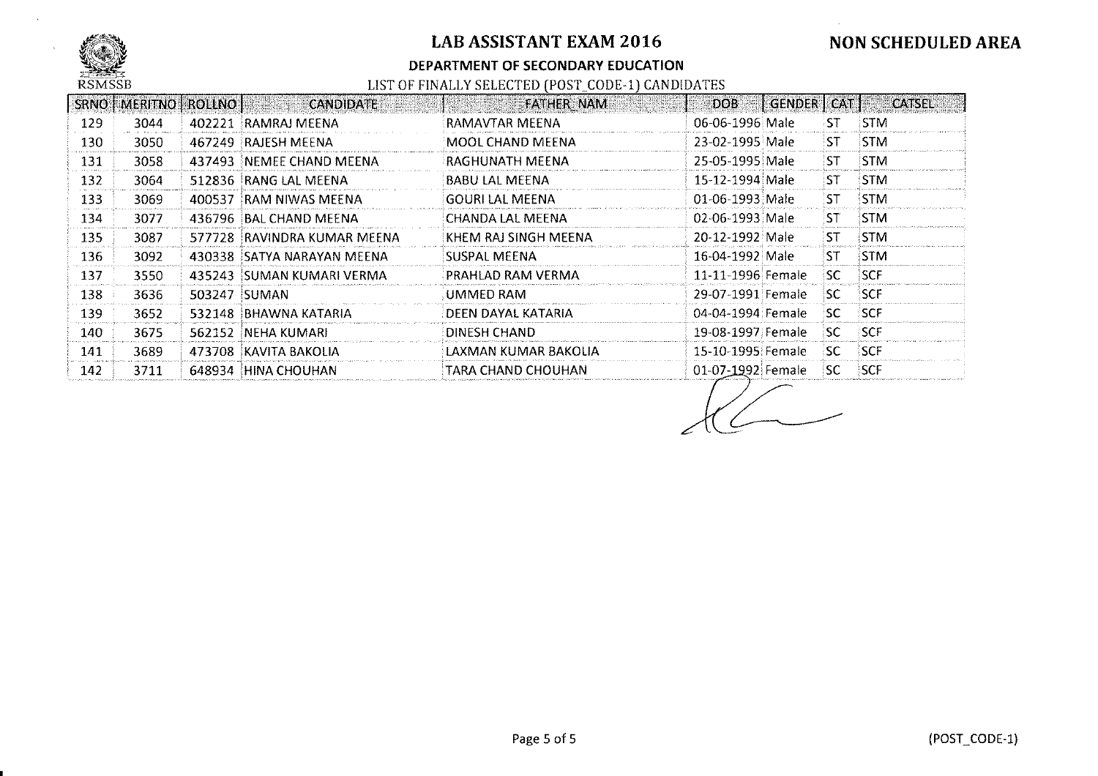

#### **DEPARTMENT OF SECONDARY EDUCATION**

|      | <b>SRNO   MERITNO  </b> | <b>EROLLNO</b> | <b>CANDIDATE</b>             | <b>FATHER NAM</b>      | DOB.              | GENDER CAT |                  | <b>CATSEL</b> |
|------|-------------------------|----------------|------------------------------|------------------------|-------------------|------------|------------------|---------------|
| 129  | 3044                    | 402221         | RAMRAJ MEENA                 | RAMAVTAR MEENA         | 06-06-1996 Male   |            | :ST              | <b>STM</b>    |
| 130  | 3050                    | 467249         | RAJESH MEENA                 | MOOL CHAND MEENA       | 23-02-1995 Male   |            | <b>ST</b>        | <b>STM</b>    |
| 131  | 3058                    | 437493         | INEMEE CHAND MEENA           | RAGHUNATH MEENA        | 25-05-1995 Male   |            | 'ST              | <b>STM</b>    |
| 132  | 3064                    |                | 512836 RANG LAL MEENA        | <b>BABU LAL MEENA</b>  | 15-12-1994 Male   |            | 'ST              | <b>STM</b>    |
| 133  | 3069                    | 400537         | RAM NIWAS MEENA              | <b>GOURI LAL MEENA</b> | 01-06-1993 Male   |            | $S^{\mathsf{T}}$ | STM           |
| 134  | 3077                    |                | 436796 BAL CHAND MEENA       | iCHANDA LAL MEENA      | 02-06-1993 Male   |            | 'ST              | <b>STM</b>    |
| 135. | 3087                    |                | 577728 IRAVINDRA KUMAR MEENA | KHEM RAJ SINGH MEENA   | 20-12-1992 Male   |            | 'ST              | <b>STM</b>    |
| 136  | 3092                    | 430338         | ISATYA NARAYAN MEENA.        | ISUSPAL MEENA          | 16-04-1992 Male   |            | :ST              | <b>STM</b>    |
| 137  | 3550                    |                | 435243 SUMAN KUMARI VERMA    | PRAHLAD RAM VERMA      | 11-11-1996 Female |            | isc.             | <b>SCF</b>    |
| 138. | 3636                    | 503247         | SUMAN                        | UMMED RAM              | 29-07-1991 Female |            | ISC.             | <b>SCF</b>    |
| 139. | 3652                    | 532148         | IBHAWNA KATARIA              | DEEN DAYAL KATARIA     | 04-04-1994 Female |            | SC.              | <b>SCF</b>    |
| 140  | 3675                    | 562152         | INEHA KUMARI.                | DINESH CHAND.          | 19-08-1997 Female |            | ⊹SC.             | <b>SCF</b>    |
| 141  | 3689                    | 473708         | KAVITA BAKOLIA               | LAXMAN KUMAR BAKOLIA   | 15-10-1995 Female |            | :SC              | <b>SCF</b>    |
| 142  | 3711                    | 648934         | 'HINA CHOUHAN                | TARA CHAND CHOUHAN     | 01-07-1992 Female |            | SC.              | <b>SCF</b>    |

 $\overline{\mathcal{K}}$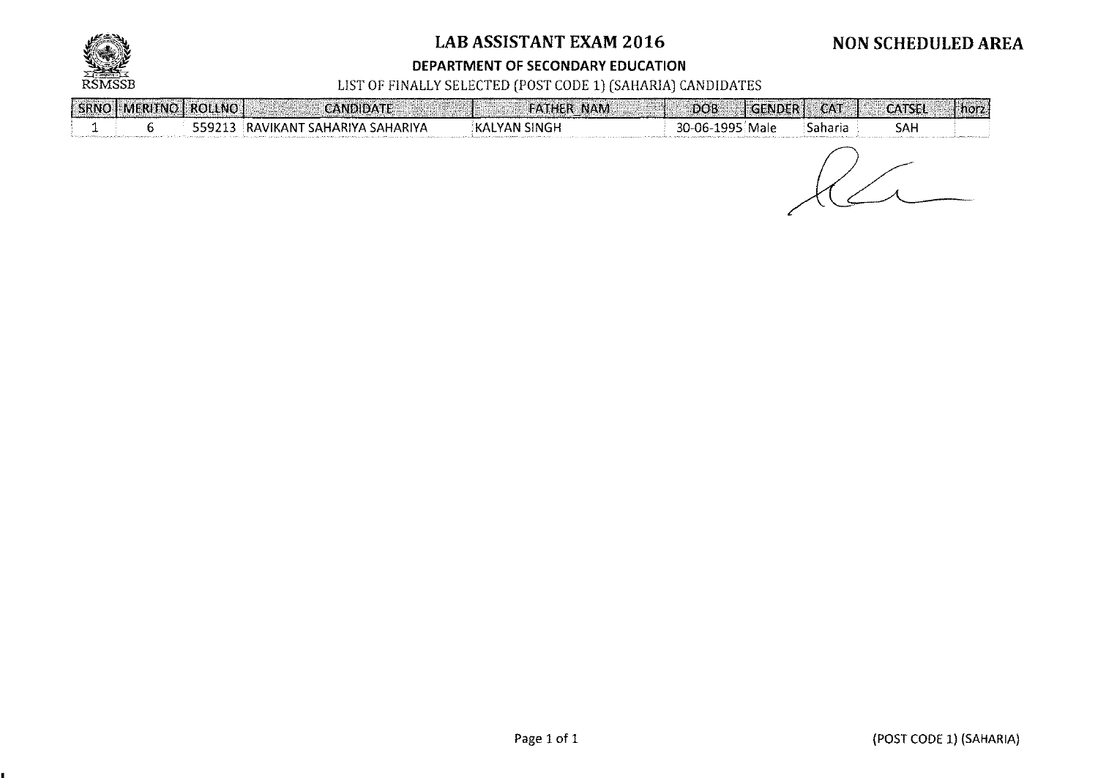

¥.

# **LAB ASSISTANT EXAM 2016**

# **NON SCHEDULED AREA**

#### **DEPARTMENT OF SECONDARY EDUCATION**

### LIST OF FINALLY SELECTED (POST CODE 1) (SAHARIA) CANDIDATES

|  | SRNO   MERITNO   ROLLNO | <b>CANDIDATE</b>            |                     | <b>FATHER NAM</b><br>DO <sub>B</sub> | <b>CAT</b><br><b>GENDER1</b> | <b>CATSEL</b><br>norz. |
|--|-------------------------|-----------------------------|---------------------|--------------------------------------|------------------------------|------------------------|
|  | 559213                  | RAVIKANT SAHARIYA SAHARIYA! | <b>KALYAN SINGH</b> | 30-06-1995 Male                      | Saharia                      | SAH                    |
|  |                         |                             |                     |                                      |                              |                        |

 $R_{-}$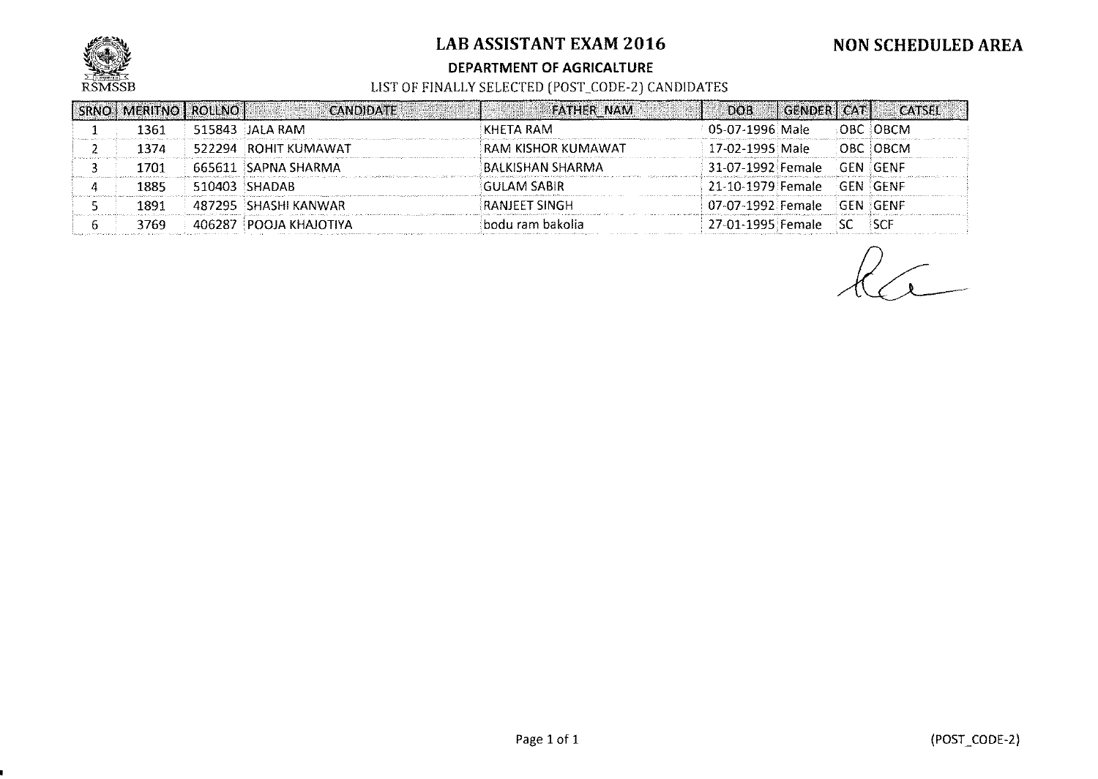

#### **DEPARTMENT OF AGRICAlTURE**

| SRNO   MERITNO   ROLLNO |        | <b>CANDIDATE</b>         | <b>FATHER NAM</b>    | DOB.                       | <b>GENDER CAT1</b> |     | <b>CATSEL</b> |
|-------------------------|--------|--------------------------|----------------------|----------------------------|--------------------|-----|---------------|
| 1361                    |        | 515843 JALA RAM          | KHETA RAM.           | 05-07-1996 Male            |                    |     | OBC OBCM      |
| 1374                    |        | 522294 ROHIT KUMAWAT     | RAM KISHOR KUMAWAT   | 17-02-1995 Male            |                    |     | OBC OBCM      |
| 1701                    |        | 665611 SAPNA SHARMA      | BALKISHAN SHARMA     | 31-07-1992 Female          |                    |     | GEN GENF      |
| 1885                    |        | $510403$ SHADAB          | GULAM SABIR          | 21-10-1979 Female GEN GENF |                    |     |               |
| 1891                    |        |                          | <b>RANJEET SINGH</b> | 07-07-1992 Female GEN GENF |                    |     |               |
| 3769                    | 406287 | <b>I POOJA KHAJOTIYA</b> | lbodu ram bakolia.   | 27-01-1995 Female          |                    | -SC | <b>ISCE</b>   |

 $k$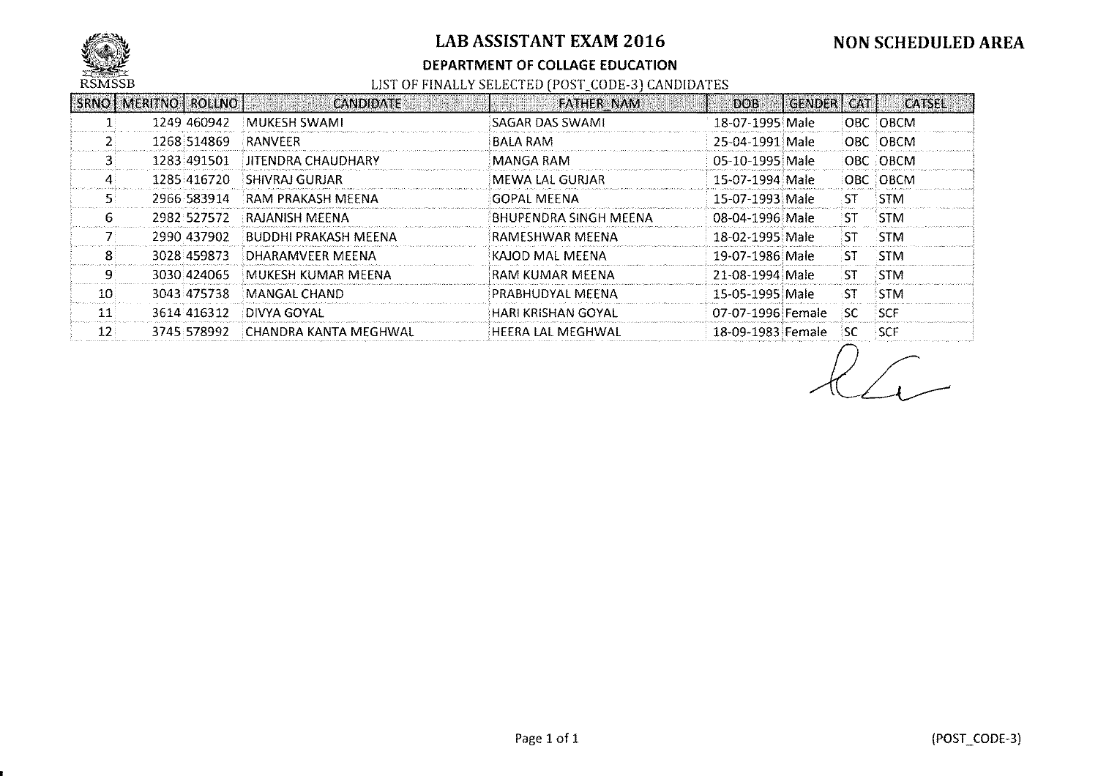

#### **DEPARTMENT OF COLLAGE EDUCATION**

|                 | SRNO   MERITNO   ROLLNO |             | <b>CANDIDATE</b>      | <b>FATHER NAM</b>     | DOB.              | <b>CENDER1</b> | <b>CAT</b> | <b>CATSEL</b> |
|-----------------|-------------------------|-------------|-----------------------|-----------------------|-------------------|----------------|------------|---------------|
|                 |                         | 1249 460942 | MUKESH SWAMI          | SAGAR DAS SWAMI       | 18-07-1995 Male   |                |            | OBC OBCM      |
|                 |                         | 1268 514869 | <b>RANVEER</b>        | <b>BALA RAM</b>       | 25-04-1991 Male   |                |            | OBC OBCM      |
|                 |                         | 1283 491501 | JITENDRA CHAUDHARY    | MANGA RAM             | -05-10-1995 Male  |                |            | OBC OBCM      |
|                 |                         | 1285 416720 | SHIVRAJ GURJAR        | MEWA LAL GURJAR       | 15-07-1994 Male   |                |            | OBC OBCM      |
|                 |                         | 2966.583914 | RAM PRAKASH MFFNA     | GOPAL MEENA           | 15-07-1993 Male   |                | -ST        | <b>STM</b>    |
| 6.              |                         | 2982 527572 | RAJANISH MEENA        | BHUPENDRA SINGH MEENA | -08-04-1996 Male  |                | 'ST        | <b>STM</b>    |
|                 |                         | 2990 437902 | BUDDHI PRAKASH MEENA  | RAMESHWAR MEENA       | -18-02-1995 Male  |                | ∶ST.       | -STM          |
|                 |                         | 3028 459873 | DHARAMVEER MEENA      | KAJOD MAL MEENA       | -19-07-1986 Male  |                | ST.        | <b>STM</b>    |
|                 |                         | 3030 424065 | MUKESH KUMAR MEENA    | RAM KUMAR MEENA       | 21-08-1994 Male   |                | :ST        | <b>STM</b>    |
| 10              |                         | 3043 475738 | MANGAL CHAND.         | PRABHUDYAL MEENA      | -15-05-1995 Male  |                | ۰ST        | <b>STM</b>    |
| 11              |                         | 3614 416312 | DIVYA GOYAL           | HARI KRISHAN GOYAL    | 07-07-1996 Female |                | isc.       | <b>SCF</b>    |
| 12 <sup>1</sup> |                         | 3745 578992 | CHANDRA KANTA MEGHWAL | HEERA LAL MEGHWAL     | 18-09-1983 Female |                | 'SC        | <b>SCF</b>    |

 $\sqrt{1-1}$